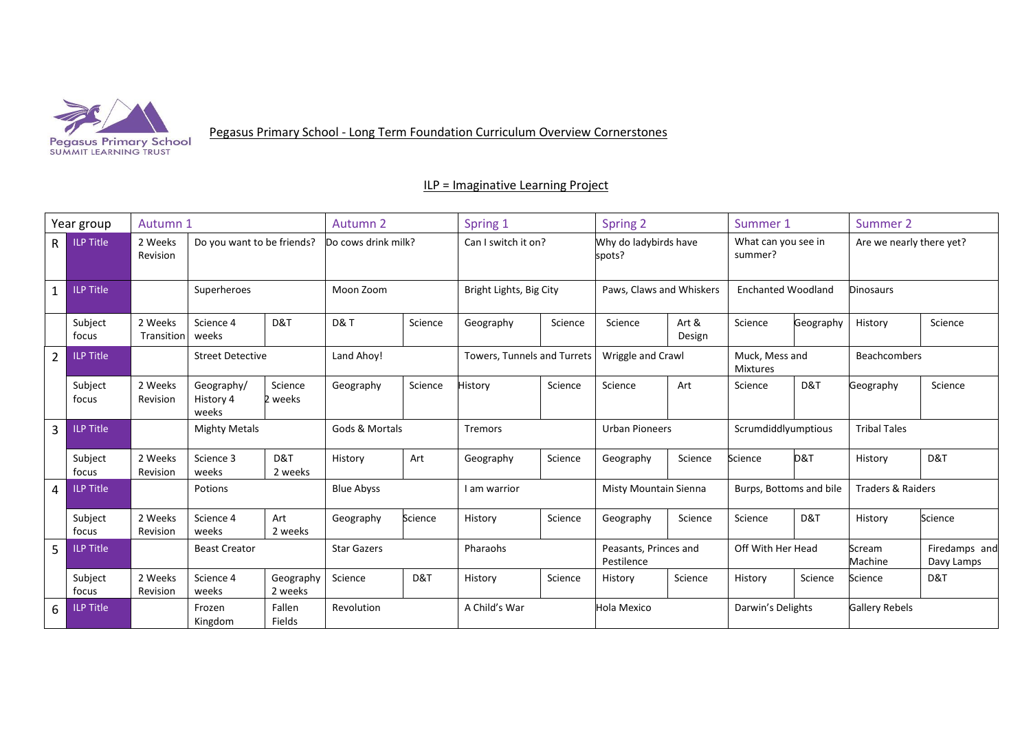

Pegasus Primary School - Long Term Foundation Curriculum Overview Cornerstones

ILP = Imaginative Learning Project

| Year group     |                  | Autumn 1              |                                  |                      | Autumn 2            |         | Spring 1                    |         | Spring 2                            |                 | Summer 1                                                |           | Summer 2                 |                             |
|----------------|------------------|-----------------------|----------------------------------|----------------------|---------------------|---------|-----------------------------|---------|-------------------------------------|-----------------|---------------------------------------------------------|-----------|--------------------------|-----------------------------|
| R.             | <b>ILP Title</b> | 2 Weeks<br>Revision   | Do you want to be friends?       |                      | Do cows drink milk? |         | Can I switch it on?         |         | Why do ladybirds have<br>spots?     |                 | What can you see in<br>summer?                          |           | Are we nearly there yet? |                             |
| 1              | <b>ILP Title</b> |                       | Superheroes                      |                      | Moon Zoom           |         | Bright Lights, Big City     |         | Paws, Claws and Whiskers            |                 | <b>Enchanted Woodland</b>                               |           | Dinosaurs                |                             |
|                | Subject<br>focus | 2 Weeks<br>Transition | Science 4<br>weeks               | D&T                  | <b>D&amp;T</b>      | Science | Geography                   | Science | Science                             | Art &<br>Design | Science                                                 | Geography | History                  | Science                     |
| $\overline{2}$ | ILP Title        |                       | <b>Street Detective</b>          |                      | Land Ahoy!          |         | Towers, Tunnels and Turrets |         | Wriggle and Crawl                   |                 | Muck, Mess and<br><b>Mixtures</b>                       |           | <b>Beachcombers</b>      |                             |
|                | Subject<br>focus | 2 Weeks<br>Revision   | Geography/<br>History 4<br>weeks | Science<br>2 weeks   | Geography           | Science | History                     | Science | Science                             | Art             | Science                                                 | D&T       | Geography                | Science                     |
| 3              | <b>ILP Title</b> |                       | <b>Mighty Metals</b>             |                      | Gods & Mortals      |         | <b>Tremors</b>              |         | <b>Urban Pioneers</b>               |                 | Scrumdiddlyumptious<br><b>Tribal Tales</b>              |           |                          |                             |
|                | Subject<br>focus | 2 Weeks<br>Revision   | Science 3<br>weeks               | D&T<br>2 weeks       | History             | Art     | Geography                   | Science | Geography                           | Science         | Science                                                 | D&T       | History                  | D&T                         |
| 4              | <b>ILP Title</b> |                       | Potions                          |                      | <b>Blue Abyss</b>   |         | I am warrior                |         | Misty Mountain Sienna               |                 | <b>Traders &amp; Raiders</b><br>Burps, Bottoms and bile |           |                          |                             |
|                | Subject<br>focus | 2 Weeks<br>Revision   | Science 4<br>weeks               | Art<br>2 weeks       | Geography           | Science | History                     | Science | Geography                           | Science         | Science                                                 | D&T       | History                  | Science                     |
| 5              | <b>ILP Title</b> |                       | <b>Beast Creator</b>             |                      | <b>Star Gazers</b>  |         | Pharaohs                    |         | Peasants, Princes and<br>Pestilence |                 | Off With Her Head                                       |           | Scream<br>Machine        | Firedamps and<br>Davy Lamps |
|                | Subject<br>focus | 2 Weeks<br>Revision   | Science 4<br>weeks               | Geography<br>2 weeks | Science             | D&T     | History                     | Science | History                             | Science         | History                                                 | Science   | Science                  | D&T                         |
| 6              | <b>ILP Title</b> |                       | Frozen<br>Kingdom                | Fallen<br>Fields     | Revolution          |         | A Child's War               |         | Hola Mexico                         |                 | Darwin's Delights                                       |           | <b>Gallery Rebels</b>    |                             |